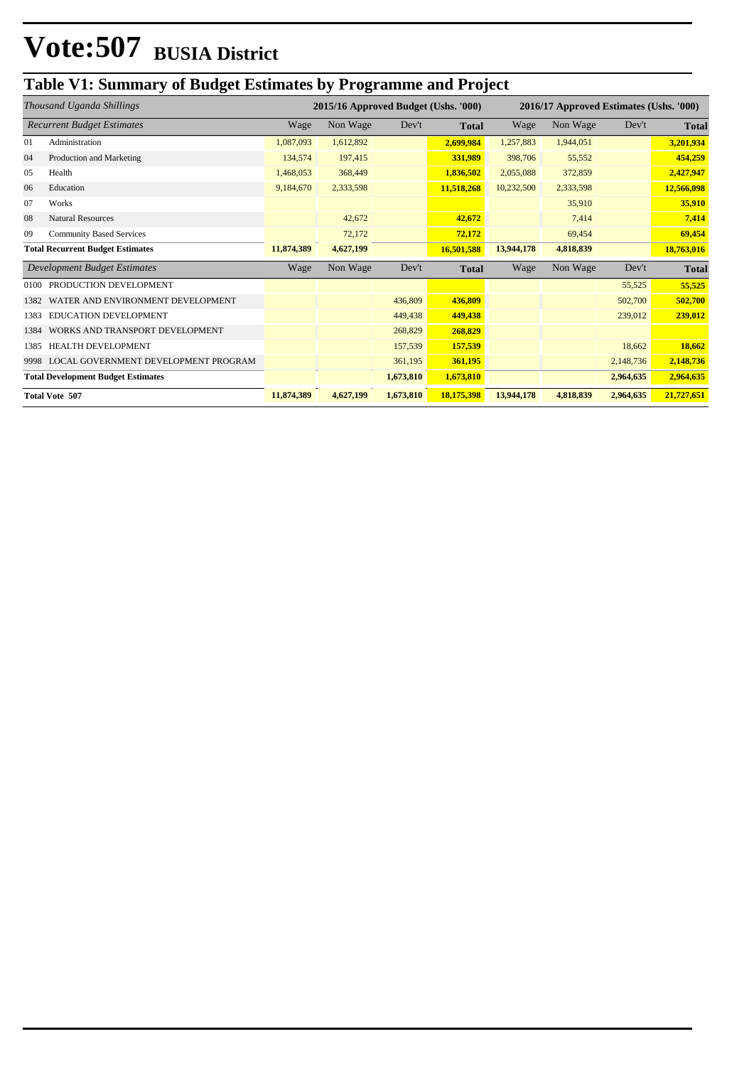### **Table V1: Summary of Budget Estimates by Programme and Project**

| Thousand Uganda Shillings                 |                                      | 2015/16 Approved Budget (Ushs. '000) |           |           | 2016/17 Approved Estimates (Ushs. '000) |            |           |           |              |
|-------------------------------------------|--------------------------------------|--------------------------------------|-----------|-----------|-----------------------------------------|------------|-----------|-----------|--------------|
| <b>Recurrent Budget Estimates</b>         |                                      | Wage                                 | Non Wage  | Dev't     | <b>Total</b>                            | Wage       | Non Wage  | Dev't     | <b>Total</b> |
| 01                                        | Administration                       | 1,087,093                            | 1,612,892 |           | 2,699,984                               | 1,257,883  | 1,944,051 |           | 3,201,934    |
| 04                                        | Production and Marketing             | 134,574                              | 197,415   |           | 331,989                                 | 398,706    | 55,552    |           | 454,259      |
| 05                                        | Health                               | 1,468,053                            | 368,449   |           | 1,836,502                               | 2,055,088  | 372,859   |           | 2,427,947    |
| 06                                        | Education                            | 9,184,670                            | 2,333,598 |           | 11,518,268                              | 10,232,500 | 2,333,598 |           | 12,566,098   |
| 07                                        | Works                                |                                      |           |           |                                         |            | 35,910    |           | 35,910       |
| 08                                        | <b>Natural Resources</b>             |                                      | 42,672    |           | 42,672                                  |            | 7,414     |           | 7,414        |
| 09                                        | <b>Community Based Services</b>      |                                      | 72,172    |           | 72,172                                  |            | 69,454    |           | 69,454       |
| <b>Total Recurrent Budget Estimates</b>   |                                      | 11,874,389                           | 4,627,199 |           | 16,501,588                              | 13,944,178 | 4,818,839 |           | 18,763,016   |
| Development Budget Estimates              |                                      | Wage                                 | Non Wage  | Dev't     | <b>Total</b>                            | Wage       | Non Wage  | Dev't     | <b>Total</b> |
| 0100                                      | PRODUCTION DEVELOPMENT               |                                      |           |           |                                         |            |           | 55,525    | 55,525       |
| 1382                                      | WATER AND ENVIRONMENT DEVELOPMENT    |                                      |           | 436,809   | 436,809                                 |            |           | 502,700   | 502,700      |
| 1383                                      | <b>EDUCATION DEVELOPMENT</b>         |                                      |           | 449,438   | 449,438                                 |            |           | 239,012   | 239,012      |
| 1384                                      | WORKS AND TRANSPORT DEVELOPMENT      |                                      |           | 268,829   | 268,829                                 |            |           |           |              |
| 1385                                      | <b>HEALTH DEVELOPMENT</b>            |                                      |           | 157,539   | 157,539                                 |            |           | 18,662    | 18,662       |
| 9998                                      | LOCAL GOVERNMENT DEVELOPMENT PROGRAM |                                      |           | 361,195   | 361,195                                 |            |           | 2,148,736 | 2,148,736    |
| <b>Total Development Budget Estimates</b> |                                      |                                      |           | 1,673,810 | 1,673,810                               |            |           | 2,964,635 | 2,964,635    |
| <b>Total Vote 507</b>                     |                                      | 11,874,389                           | 4,627,199 | 1,673,810 | 18,175,398                              | 13,944,178 | 4,818,839 | 2,964,635 | 21,727,651   |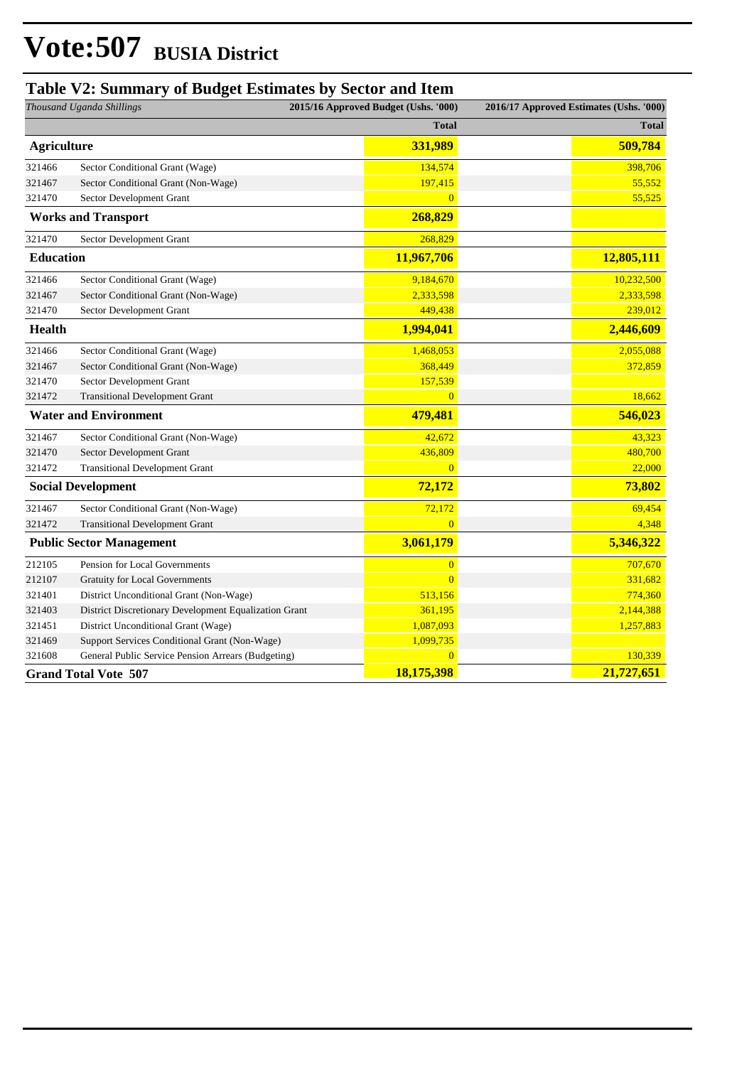#### **Table V2: Summary of Budget Estimates by Sector and Item**

| Thousand Uganda Shillings       |                                                       | 2015/16 Approved Budget (Ushs. '000) | 2016/17 Approved Estimates (Ushs. '000) |              |
|---------------------------------|-------------------------------------------------------|--------------------------------------|-----------------------------------------|--------------|
|                                 |                                                       | <b>Total</b>                         |                                         | <b>Total</b> |
| <b>Agriculture</b>              |                                                       | 331,989                              |                                         | 509,784      |
| 321466                          | Sector Conditional Grant (Wage)                       | 134,574                              |                                         | 398,706      |
| 321467                          | Sector Conditional Grant (Non-Wage)                   | 197,415                              |                                         | 55,552       |
| 321470                          | Sector Development Grant                              | $\overline{0}$                       |                                         | 55,525       |
|                                 | <b>Works and Transport</b>                            | 268,829                              |                                         |              |
| 321470                          | Sector Development Grant                              | 268,829                              |                                         |              |
| <b>Education</b>                |                                                       | 11,967,706                           |                                         | 12,805,111   |
| 321466                          | Sector Conditional Grant (Wage)                       | 9,184,670                            |                                         | 10,232,500   |
| 321467                          | Sector Conditional Grant (Non-Wage)                   | 2,333,598                            |                                         | 2,333,598    |
| 321470                          | Sector Development Grant                              | 449,438                              |                                         | 239,012      |
| Health                          |                                                       | 1,994,041                            |                                         | 2,446,609    |
| 321466                          | Sector Conditional Grant (Wage)                       | 1,468,053                            |                                         | 2,055,088    |
| 321467                          | Sector Conditional Grant (Non-Wage)                   | 368,449                              |                                         | 372,859      |
| 321470                          | Sector Development Grant                              | 157,539                              |                                         |              |
| 321472                          | <b>Transitional Development Grant</b>                 | $\overline{0}$                       |                                         | 18,662       |
| <b>Water and Environment</b>    |                                                       | 479,481                              |                                         | 546,023      |
| 321467                          | Sector Conditional Grant (Non-Wage)                   | 42,672                               |                                         | 43,323       |
| 321470                          | Sector Development Grant                              | 436,809                              |                                         | 480,700      |
| 321472                          | <b>Transitional Development Grant</b>                 | $\overline{0}$                       |                                         | 22,000       |
| <b>Social Development</b>       |                                                       | 72,172                               |                                         | 73,802       |
| 321467                          | Sector Conditional Grant (Non-Wage)                   | 72,172                               |                                         | 69,454       |
| 321472                          | <b>Transitional Development Grant</b>                 | $\overline{0}$                       |                                         | 4,348        |
| <b>Public Sector Management</b> |                                                       | 3,061,179                            |                                         | 5,346,322    |
| 212105                          | Pension for Local Governments                         | $\mathbf{0}$                         |                                         | 707,670      |
| 212107                          | <b>Gratuity for Local Governments</b>                 | $\overline{0}$                       |                                         | 331,682      |
| 321401                          | District Unconditional Grant (Non-Wage)               | 513,156                              |                                         | 774,360      |
| 321403                          | District Discretionary Development Equalization Grant | 361,195                              |                                         | 2,144,388    |
| 321451                          | District Unconditional Grant (Wage)                   | 1,087,093                            |                                         | 1,257,883    |
| 321469                          | Support Services Conditional Grant (Non-Wage)         | 1,099,735                            |                                         |              |
| 321608                          | General Public Service Pension Arrears (Budgeting)    | $\overline{0}$                       |                                         | 130,339      |
|                                 | <b>Grand Total Vote 507</b>                           | 18,175,398                           |                                         | 21,727,651   |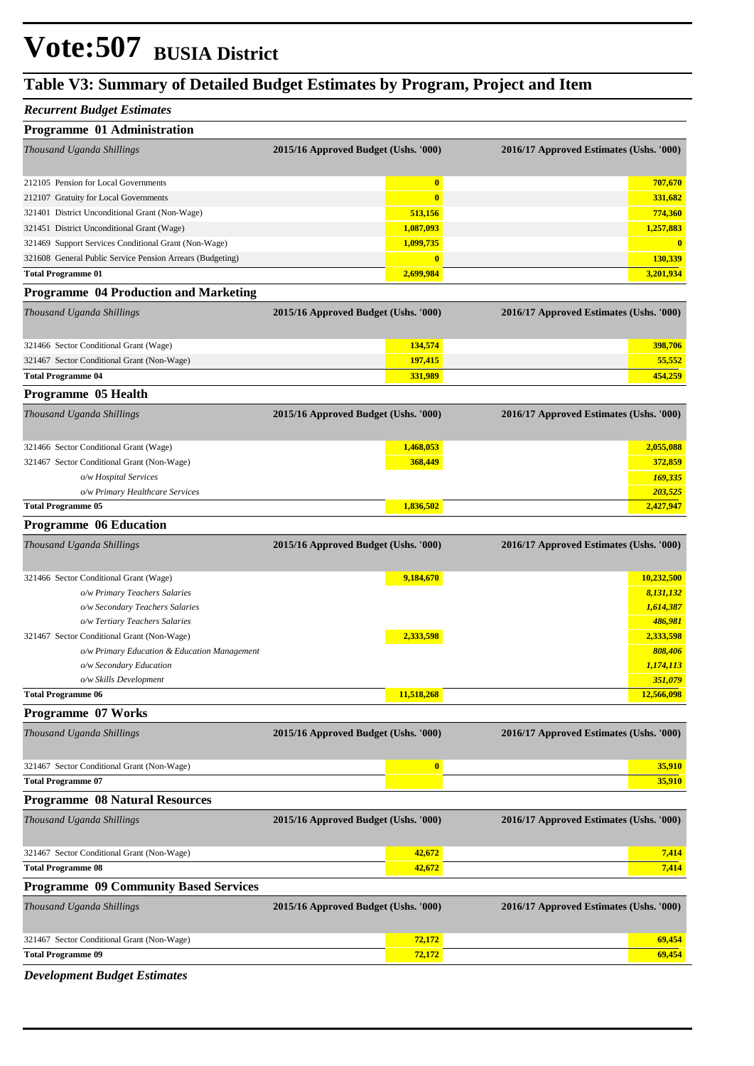#### **Table V3: Summary of Detailed Budget Estimates by Program, Project and Item**

#### *Recurrent Budget Estimates*

| Programme 01 Administration                               |                                      |                                         |
|-----------------------------------------------------------|--------------------------------------|-----------------------------------------|
| Thousand Uganda Shillings                                 | 2015/16 Approved Budget (Ushs. '000) | 2016/17 Approved Estimates (Ushs. '000) |
| 212105 Pension for Local Governments                      | $\boldsymbol{0}$                     | 707,670                                 |
| 212107 Gratuity for Local Governments                     | $\bf{0}$                             | 331,682                                 |
| 321401 District Unconditional Grant (Non-Wage)            | 513,156                              | 774,360                                 |
| 321451 District Unconditional Grant (Wage)                | 1,087,093                            | 1,257,883                               |
| 321469 Support Services Conditional Grant (Non-Wage)      | 1,099,735                            | $\bf{0}$                                |
| 321608 General Public Service Pension Arrears (Budgeting) | $\boldsymbol{0}$                     | 130,339                                 |
| <b>Total Programme 01</b>                                 | 2,699,984                            | 3,201,934                               |
| <b>Programme 04 Production and Marketing</b>              |                                      |                                         |
| Thousand Uganda Shillings                                 | 2015/16 Approved Budget (Ushs. '000) | 2016/17 Approved Estimates (Ushs. '000) |
| 321466 Sector Conditional Grant (Wage)                    | 134,574                              | 398,706                                 |
| 321467 Sector Conditional Grant (Non-Wage)                | 197,415                              | 55,552                                  |
| <b>Total Programme 04</b>                                 | 331,989                              | 454,259                                 |
| Programme 05 Health                                       |                                      |                                         |
| Thousand Uganda Shillings                                 | 2015/16 Approved Budget (Ushs. '000) | 2016/17 Approved Estimates (Ushs. '000) |
| 321466 Sector Conditional Grant (Wage)                    | 1,468,053                            | 2,055,088                               |
| 321467 Sector Conditional Grant (Non-Wage)                | 368,449                              | 372,859                                 |
| o/w Hospital Services                                     |                                      | 169,335                                 |
| o/w Primary Healthcare Services                           |                                      | 203,525                                 |
| <b>Total Programme 05</b>                                 | 1,836,502                            | 2,427,947                               |
| <b>Programme 06 Education</b>                             |                                      |                                         |
| Thousand Uganda Shillings                                 | 2015/16 Approved Budget (Ushs. '000) | 2016/17 Approved Estimates (Ushs. '000) |
| 321466 Sector Conditional Grant (Wage)                    | 9,184,670                            | 10,232,500                              |
| o/w Primary Teachers Salaries                             |                                      | 8,131,132                               |
| o/w Secondary Teachers Salaries                           |                                      | 1,614,387                               |
| o/w Tertiary Teachers Salaries                            |                                      | 486,981                                 |
| 321467 Sector Conditional Grant (Non-Wage)                | 2,333,598                            | 2,333,598                               |
| o/w Primary Education & Education Management              |                                      | 808,406                                 |
| o/w Secondary Education                                   |                                      | 1,174,113                               |
| o/w Skills Development                                    |                                      | 351,079                                 |
| <b>Total Programme 06</b>                                 | 11,518,268                           | 12,566,098                              |
| Programme 07 Works                                        |                                      |                                         |
| Thousand Uganda Shillings                                 | 2015/16 Approved Budget (Ushs. '000) | 2016/17 Approved Estimates (Ushs. '000) |
| 321467 Sector Conditional Grant (Non-Wage)                | $\bf{0}$                             | 35,910                                  |
| <b>Total Programme 07</b>                                 |                                      | 35,910                                  |
| <b>Programme 08 Natural Resources</b>                     |                                      |                                         |
| Thousand Uganda Shillings                                 | 2015/16 Approved Budget (Ushs. '000) | 2016/17 Approved Estimates (Ushs. '000) |
| 321467 Sector Conditional Grant (Non-Wage)                | 42,672                               | 7,414                                   |
| <b>Total Programme 08</b>                                 | 42,672                               | 7,414                                   |
| <b>Programme 09 Community Based Services</b>              |                                      |                                         |
|                                                           |                                      |                                         |
| Thousand Uganda Shillings                                 | 2015/16 Approved Budget (Ushs. '000) | 2016/17 Approved Estimates (Ushs. '000) |
| 321467 Sector Conditional Grant (Non-Wage)                | 72,172                               | 69,454                                  |
| <b>Total Programme 09</b>                                 | 72,172                               | 69,454                                  |
|                                                           |                                      |                                         |

*Development Budget Estimates*